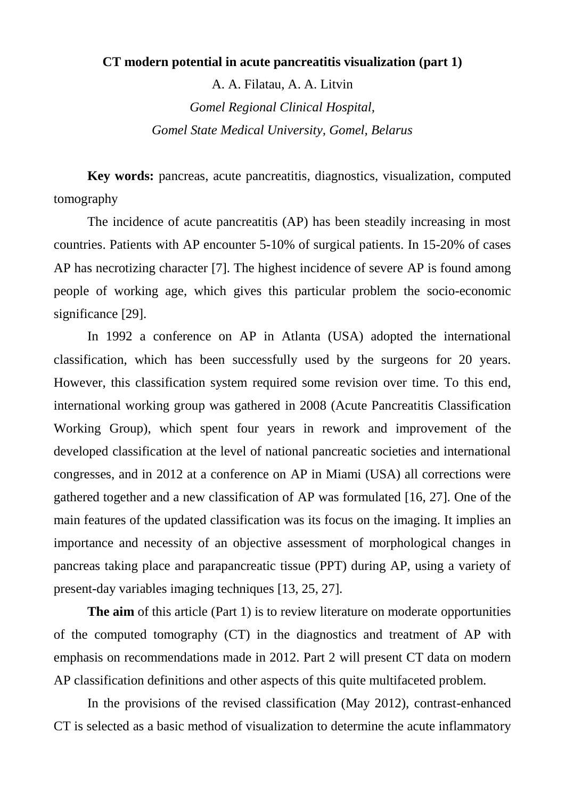## **CT modern potential in acute pancreatitis visualization (part 1)**

A. A. Filatau, A. A. Litvin *Gomel Regional Clinical Hospital, Gomel State Medical University, Gomel, Belarus*

**Key words:** pancreas, acute pancreatitis, diagnostics, visualization, computed tomography

The incidence of acute pancreatitis (AP) has been steadily increasing in most countries. Patients with AP encounter 5-10% of surgical patients. In 15-20% of cases AP has necrotizing character [7]. The highest incidence of severe AP is found among people of working age, which gives this particular problem the socio-economic significance [29].

In 1992 a conference on AP in Atlanta (USA) adopted the international classification, which has been successfully used by the surgeons for 20 years. However, this classification system required some revision over time. To this end, international working group was gathered in 2008 (Acute Pancreatitis Classification Working Group), which spent four years in rework and improvement of the developed classification at the level of national pancreatic societies and international congresses, and in 2012 at a conference on AP in Miami (USA) all corrections were gathered together and a new classification of AP was formulated [16, 27]. One of the main features of the updated classification was its focus on the imaging. It implies an importance and necessity of an objective assessment of morphological changes in pancreas taking place and parapancreatic tissue (PPT) during AP, using a variety of present-day variables imaging techniques [13, 25, 27].

**The aim** of this article (Part 1) is to review literature on moderate opportunities of the computed tomography (CT) in the diagnostics and treatment of AP with emphasis on recommendations made in 2012. Part 2 will present CT data on modern AP classification definitions and other aspects of this quite multifaceted problem.

In the provisions of the revised classification (May 2012), contrast-enhanced CT is selected as a basic method of visualization to determine the acute inflammatory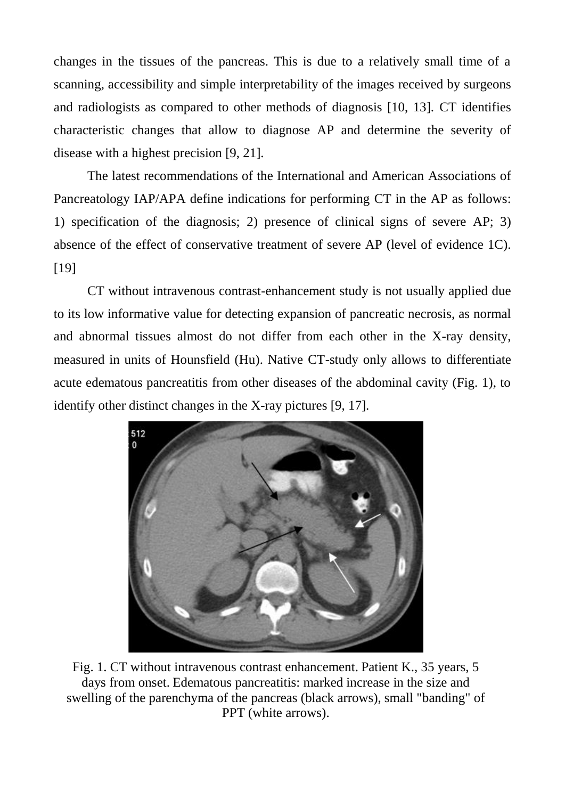changes in the tissues of the pancreas. This is due to a relatively small time of a scanning, accessibility and simple interpretability of the images received by surgeons and radiologists as compared to other methods of diagnosis [10, 13]. CT identifies characteristic changes that allow to diagnose AP and determine the severity of disease with a highest precision [9, 21].

The latest recommendations of the International and American Associations of Pancreatology IAP/APA define indications for performing CT in the AP as follows: 1) specification of the diagnosis; 2) presence of clinical signs of severe AP; 3) absence of the effect of conservative treatment of severe AP (level of evidence 1C). [19]

CT without intravenous contrast-enhancement study is not usually applied due to its low informative value for detecting expansion of pancreatic necrosis, as normal and abnormal tissues almost do not differ from each other in the X-ray density, measured in units of Hounsfield (Hu). Native CT-study only allows to differentiate acute edematous pancreatitis from other diseases of the abdominal cavity (Fig. 1), to identify other distinct changes in the X-ray pictures [9, 17].



Fig. 1. CT without intravenous contrast enhancement. Patient K., 35 years, 5 days from onset. Edematous pancreatitis: marked increase in the size and swelling of the parenchyma of the pancreas (black arrows), small "banding" of PPT (white arrows).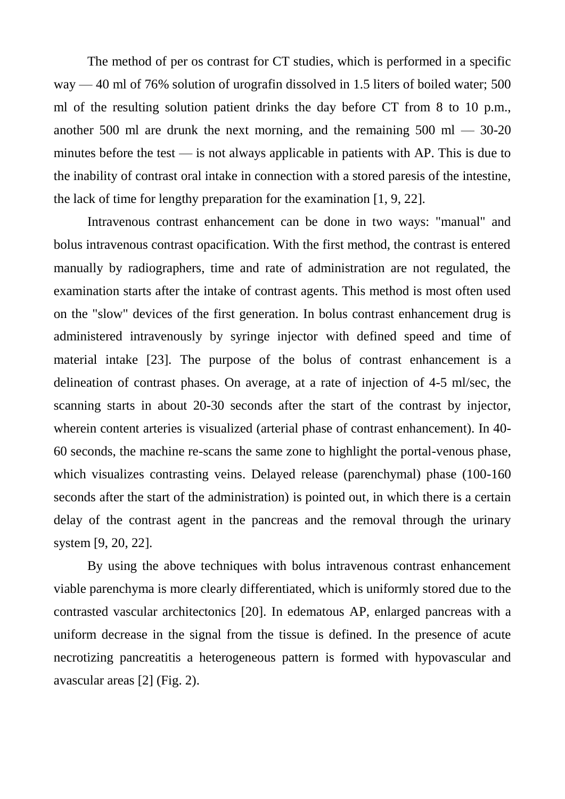The method of per os contrast for CT studies, which is performed in a specific way — 40 ml of 76% solution of urografin dissolved in 1.5 liters of boiled water; 500 ml of the resulting solution patient drinks the day before CT from 8 to 10 p.m., another 500 ml are drunk the next morning, and the remaining  $500 \text{ ml} - 30\text{-}20$ minutes before the test  $\frac{1}{10}$  is not always applicable in patients with AP. This is due to the inability of contrast oral intake in connection with a stored paresis of the intestine, the lack of time for lengthy preparation for the examination [1, 9, 22].

Intravenous contrast enhancement can be done in two ways: "manual" and bolus intravenous contrast opacification. With the first method, the contrast is entered manually by radiographers, time and rate of administration are not regulated, the examination starts after the intake of contrast agents. This method is most often used on the "slow" devices of the first generation. In bolus contrast enhancement drug is administered intravenously by syringe injector with defined speed and time of material intake [23]. The purpose of the bolus of contrast enhancement is a delineation of contrast phases. On average, at a rate of injection of 4-5 ml/sec, the scanning starts in about 20-30 seconds after the start of the contrast by injector, wherein content arteries is visualized (arterial phase of contrast enhancement). In 40- 60 seconds, the machine re-scans the same zone to highlight the portal-venous phase, which visualizes contrasting veins. Delayed release (parenchymal) phase (100-160 seconds after the start of the administration) is pointed out, in which there is a certain delay of the contrast agent in the pancreas and the removal through the urinary system [9, 20, 22].

By using the above techniques with bolus intravenous contrast enhancement viable parenchyma is more clearly differentiated, which is uniformly stored due to the contrasted vascular architectonics [20]. In edematous AP, enlarged pancreas with a uniform decrease in the signal from the tissue is defined. In the presence of acute necrotizing pancreatitis a heterogeneous pattern is formed with hypovascular and avascular areas [2] (Fig. 2).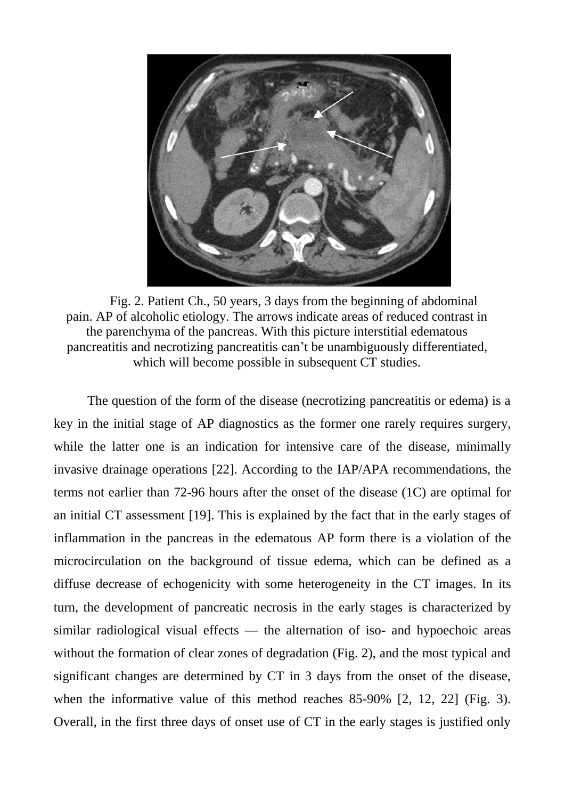

Fig. 2. Patient Ch., 50 years, 3 days from the beginning of abdominal pain. AP of alcoholic etiology. The arrows indicate areas of reduced contrast in the parenchyma of the pancreas. With this picture interstitial edematous pancreatitis and necrotizing pancreatitis can't be unambiguously differentiated, which will become possible in subsequent CT studies.

The question of the form of the disease (necrotizing pancreatitis or edema) is a key in the initial stage of AP diagnostics as the former one rarely requires surgery, while the latter one is an indication for intensive care of the disease, minimally invasive drainage operations [22]. According to the IAP/APA recommendations, the terms not earlier than 72-96 hours after the onset of the disease (1C) are optimal for an initial CT assessment [19]. This is explained by the fact that in the early stages of inflammation in the pancreas in the edematous AP form there is a violation of the microcirculation on the background of tissue edema, which can be defined as a diffuse decrease of echogenicity with some heterogeneity in the CT images. In its turn, the development of pancreatic necrosis in the early stages is characterized by similar radiological visual effects — the alternation of iso- and hypoechoic areas without the formation of clear zones of degradation (Fig. 2), and the most typical and significant changes are determined by CT in 3 days from the onset of the disease, when the informative value of this method reaches 85-90% [2, 12, 22] (Fig. 3). Overall, in the first three days of onset use of CT in the early stages is justified only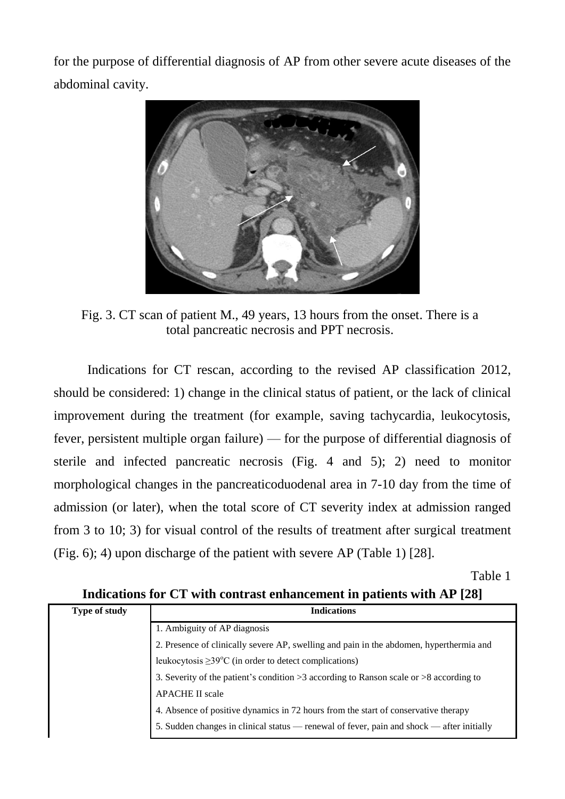for the purpose of differential diagnosis of AP from other severe acute diseases of the abdominal cavity.



Fig. 3. CT scan of patient M., 49 years, 13 hours from the onset. There is a total pancreatic necrosis and PPT necrosis.

Indications for CT rescan, according to the revised AP classification 2012, should be considered: 1) change in the clinical status of patient, or the lack of clinical improvement during the treatment (for example, saving tachycardia, leukocytosis, fever, persistent multiple organ failure) — for the purpose of differential diagnosis of sterile and infected pancreatic necrosis (Fig. 4 and 5); 2) need to monitor morphological changes in the pancreaticoduodenal area in 7-10 day from the time of admission (or later), when the total score of CT severity index at admission ranged from 3 to 10; 3) for visual control of the results of treatment after surgical treatment (Fig. 6); 4) upon discharge of the patient with severe AP (Table 1) [28].

Table 1

|               | Indications for $C_1$ with contrast enhancement in patients with $AF$ [28]                 |
|---------------|--------------------------------------------------------------------------------------------|
| Type of study | <b>Indications</b>                                                                         |
|               | 1. Ambiguity of AP diagnosis                                                               |
|               | 2. Presence of clinically severe AP, swelling and pain in the abdomen, hyperthermia and    |
|               | leukocytosis $\geq$ 39°C (in order to detect complications)                                |
|               | 3. Severity of the patient's condition $>3$ according to Ranson scale or $>8$ according to |
|               | <b>APACHE II scale</b>                                                                     |
|               | 4. Absence of positive dynamics in 72 hours from the start of conservative therapy         |
|               | 5. Sudden changes in clinical status — renewal of fever, pain and shock — after initially  |
|               |                                                                                            |

**Indications for CT with contrast enhancement in patients with AP [28]**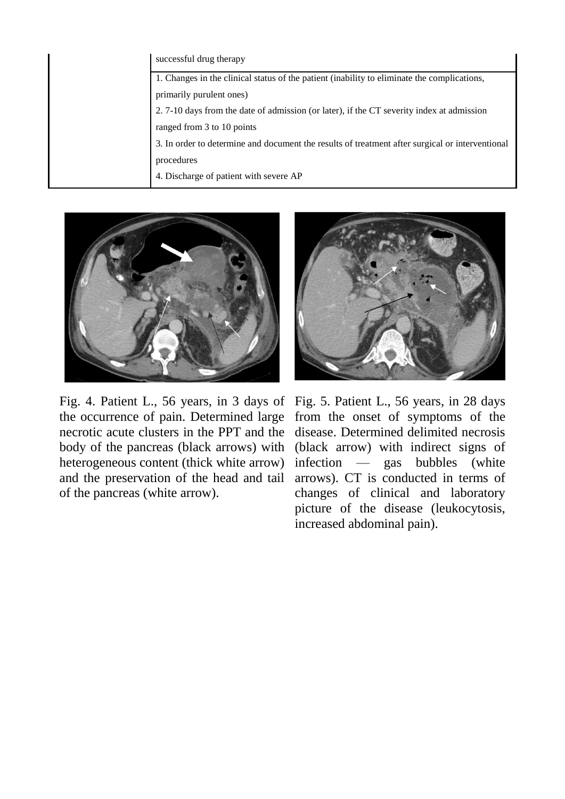| successful drug therapy                                                                         |
|-------------------------------------------------------------------------------------------------|
| 1. Changes in the clinical status of the patient (inability to eliminate the complications,     |
| primarily purulent ones)                                                                        |
| 2. 7-10 days from the date of admission (or later), if the CT severity index at admission       |
| ranged from 3 to 10 points                                                                      |
| 3. In order to determine and document the results of treatment after surgical or interventional |
| procedures                                                                                      |
| 4. Discharge of patient with severe AP                                                          |



Fig. 4. Patient L., 56 years, in 3 days of the occurrence of pain. Determined large necrotic acute clusters in the PPT and the body of the pancreas (black arrows) with heterogeneous content (thick white arrow) and the preservation of the head and tail of the pancreas (white arrow).



Fig. 5. Patient L., 56 years, in 28 days from the onset of symptoms of the disease. Determined delimited necrosis (black arrow) with indirect signs of infection — gas bubbles (white arrows). CT is conducted in terms of changes of clinical and laboratory picture of the disease (leukocytosis, increased abdominal pain).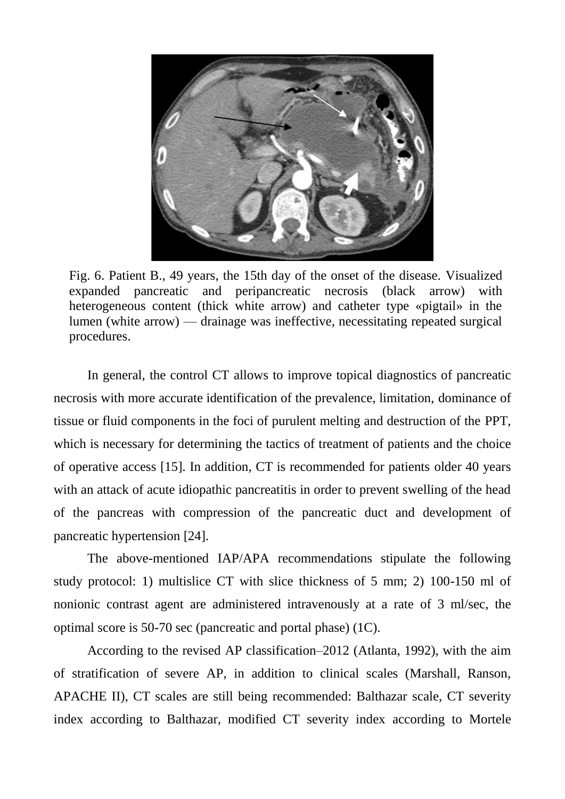

Fig. 6. Patient B., 49 years, the 15th day of the onset of the disease. Visualized expanded pancreatic and peripancreatic necrosis (black arrow) with heterogeneous content (thick white arrow) and catheter type «pigtail» in the lumen (white arrow) — drainage was ineffective, necessitating repeated surgical procedures.

In general, the control CT allows to improve topical diagnostics of pancreatic necrosis with more accurate identification of the prevalence, limitation, dominance of tissue or fluid components in the foci of purulent melting and destruction of the PPT, which is necessary for determining the tactics of treatment of patients and the choice of operative access [15]. In addition, CT is recommended for patients older 40 years with an attack of acute idiopathic pancreatitis in order to prevent swelling of the head of the pancreas with compression of the pancreatic duct and development of pancreatic hypertension [24].

The above-mentioned IAP/APA recommendations stipulate the following study protocol: 1) multislice CT with slice thickness of 5 mm; 2) 100-150 ml of nonionic contrast agent are administered intravenously at a rate of 3 ml/sec, the optimal score is 50-70 sec (pancreatic and portal phase) (1C).

According to the revised AP classification–2012 (Atlanta, 1992), with the aim of stratification of severe AP, in addition to clinical scales (Marshall, Ranson, APACHE II), CT scales are still being recommended: Balthazar scale, CT severity index according to Balthazar, modified CT severity index according to Mortele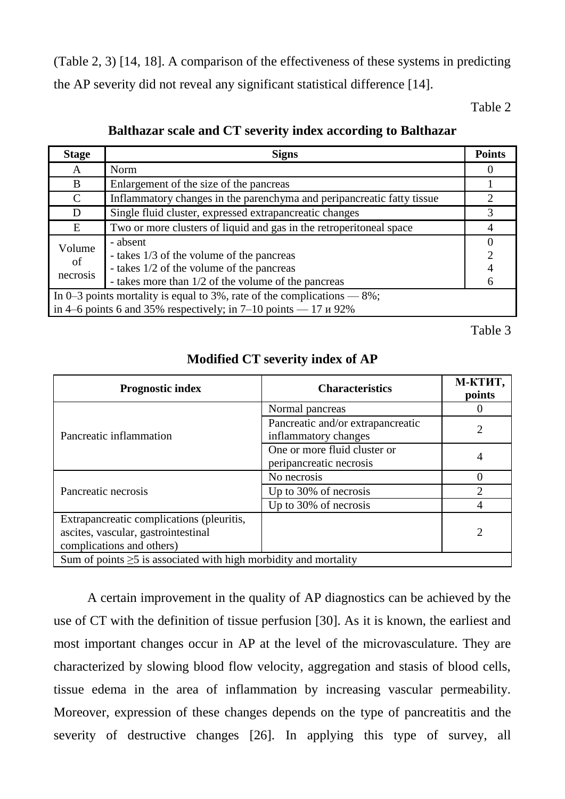(Table 2, 3) [14, 18]. A comparison of the effectiveness of these systems in predicting the AP severity did not reveal any significant statistical difference [14].

Table 2

| <b>Stage</b>                                                               | <b>Signs</b>                                                           | <b>Points</b>  |  |  |
|----------------------------------------------------------------------------|------------------------------------------------------------------------|----------------|--|--|
| A                                                                          | Norm                                                                   |                |  |  |
| B                                                                          | Enlargement of the size of the pancreas                                |                |  |  |
| C                                                                          | Inflammatory changes in the parenchyma and peripancreatic fatty tissue |                |  |  |
| D                                                                          | Single fluid cluster, expressed extrapancreatic changes                | 3              |  |  |
| E                                                                          | Two or more clusters of liquid and gas in the retroperitoneal space    |                |  |  |
| Volume                                                                     | - absent                                                               |                |  |  |
| of                                                                         | - takes 1/3 of the volume of the pancreas                              | $\overline{2}$ |  |  |
| necrosis                                                                   | - takes 1/2 of the volume of the pancreas                              |                |  |  |
|                                                                            | - takes more than 1/2 of the volume of the pancreas                    |                |  |  |
| In 0–3 points mortality is equal to 3%, rate of the complications $-8\%$ ; |                                                                        |                |  |  |
| in 4–6 points 6 and 35% respectively; in 7–10 points — 17 $\mu$ 92%        |                                                                        |                |  |  |

**Balthazar scale and CT severity index according to Balthazar**

Table 3

## **Modified CT severity index of AP**

| <b>Prognostic index</b>                                                                                       | <b>Characteristics</b>                                    | М-КТИТ,<br>points |  |  |
|---------------------------------------------------------------------------------------------------------------|-----------------------------------------------------------|-------------------|--|--|
|                                                                                                               | Normal pancreas                                           |                   |  |  |
| Pancreatic inflammation                                                                                       | Pancreatic and/or extrapancreatic<br>inflammatory changes |                   |  |  |
|                                                                                                               | One or more fluid cluster or<br>peripancreatic necrosis   |                   |  |  |
|                                                                                                               | No necrosis                                               |                   |  |  |
| Pancreatic necrosis                                                                                           | Up to 30% of necrosis                                     |                   |  |  |
|                                                                                                               | Up to 30% of necrosis                                     |                   |  |  |
| Extrapancreatic complications (pleuritis,<br>ascites, vascular, gastrointestinal<br>complications and others) |                                                           | 2                 |  |  |
| Sum of points $\geq$ 5 is associated with high morbidity and mortality                                        |                                                           |                   |  |  |

A certain improvement in the quality of AP diagnostics can be achieved by the use of CT with the definition of tissue perfusion [30]. As it is known, the earliest and most important changes occur in AP at the level of the microvasculature. They are characterized by slowing blood flow velocity, aggregation and stasis of blood cells, tissue edema in the area of inflammation by increasing vascular permeability. Moreover, expression of these changes depends on the type of pancreatitis and the severity of destructive changes [26]. In applying this type of survey, all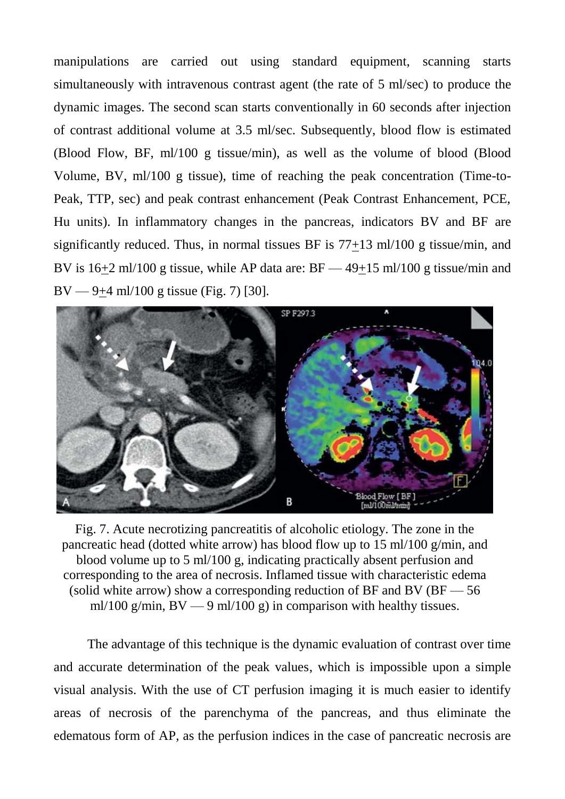manipulations are carried out using standard equipment, scanning starts simultaneously with intravenous contrast agent (the rate of 5 ml/sec) to produce the dynamic images. The second scan starts conventionally in 60 seconds after injection of contrast additional volume at 3.5 ml/sec. Subsequently, blood flow is estimated (Blood Flow, BF, ml/100 g tissue/min), as well as the volume of blood (Blood Volume, BV, ml/100 g tissue), time of reaching the peak concentration (Time-to-Peak, TTP, sec) and peak contrast enhancement (Peak Contrast Enhancement, PCE, Hu units). In inflammatory changes in the pancreas, indicators BV and BF are significantly reduced. Thus, in normal tissues BF is 77+13 ml/100 g tissue/min, and BV is 16+2 ml/100 g tissue, while AP data are: BF — 49+15 ml/100 g tissue/min and BV — 9+4 ml/100 g tissue (Fig. 7) [30].



Fig. 7. Acute necrotizing pancreatitis of alcoholic etiology. The zone in the pancreatic head (dotted white arrow) has blood flow up to 15 ml/100 g/min, and blood volume up to 5 ml/100 g, indicating practically absent perfusion and corresponding to the area of necrosis. Inflamed tissue with characteristic edema (solid white arrow) show a corresponding reduction of BF and BV ( $BF = 56$ ) ml/100 g/min,  $BV - 9$  ml/100 g) in comparison with healthy tissues.

The advantage of this technique is the dynamic evaluation of contrast over time and accurate determination of the peak values, which is impossible upon a simple visual analysis. With the use of CT perfusion imaging it is much easier to identify areas of necrosis of the parenchyma of the pancreas, and thus eliminate the edematous form of AP, as the perfusion indices in the case of pancreatic necrosis are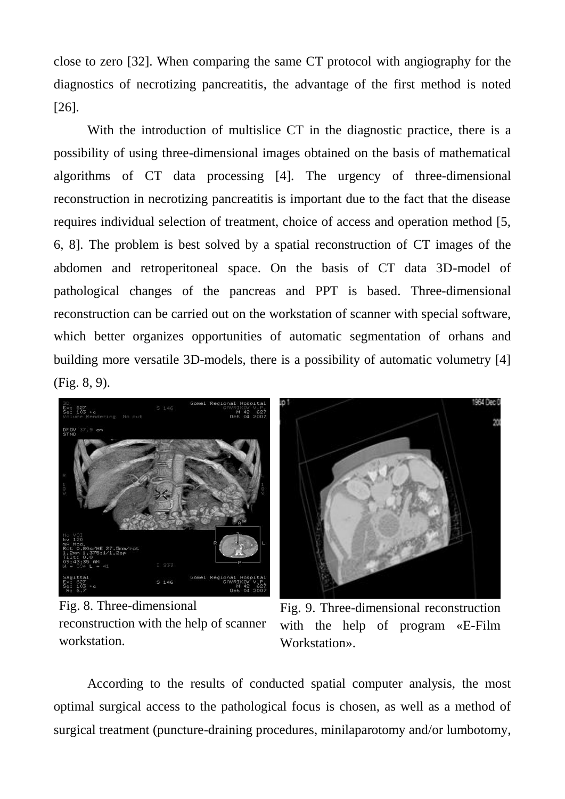close to zero [32]. When comparing the same CT protocol with angiography for the diagnostics of necrotizing pancreatitis, the advantage of the first method is noted [26].

With the introduction of multislice CT in the diagnostic practice, there is a possibility of using three-dimensional images obtained on the basis of mathematical algorithms of CT data processing [4]. The urgency of three-dimensional reconstruction in necrotizing pancreatitis is important due to the fact that the disease requires individual selection of treatment, choice of access and operation method [5, 6, 8]. The problem is best solved by a spatial reconstruction of CT images of the abdomen and retroperitoneal space. On the basis of CT data 3D-model of pathological changes of the pancreas and PPT is based. Three-dimensional reconstruction can be carried out on the workstation of scanner with special software, which better organizes opportunities of automatic segmentation of orhans and building more versatile 3D-models, there is a possibility of automatic volumetry [4] (Fig. 8, 9).



Fig. 8. Three-dimensional reconstruction with the help of scanner workstation.



Fig. 9. Three-dimensional reconstruction with the help of program «E-Film Workstation».

According to the results of conducted spatial computer analysis, the most optimal surgical access to the pathological focus is chosen, as well as a method of surgical treatment (puncture-draining procedures, minilaparotomy and/or lumbotomy,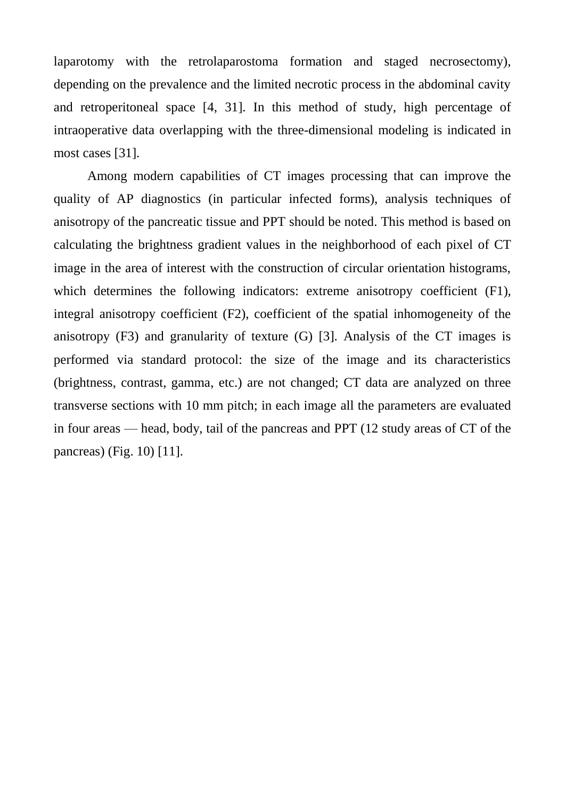laparotomy with the retrolaparostoma formation and staged necrosectomy), depending on the prevalence and the limited necrotic process in the abdominal cavity and retroperitoneal space [4, 31]. In this method of study, high percentage of intraoperative data overlapping with the three-dimensional modeling is indicated in most cases [31].

Among modern capabilities of CT images processing that can improve the quality of AP diagnostics (in particular infected forms), analysis techniques of anisotropy of the pancreatic tissue and PPT should be noted. This method is based on calculating the brightness gradient values in the neighborhood of each pixel of CT image in the area of interest with the construction of circular orientation histograms, which determines the following indicators: extreme anisotropy coefficient (F1), integral anisotropy coefficient (F2), coefficient of the spatial inhomogeneity of the anisotropy  $(F3)$  and granularity of texture  $(G)$  [3]. Analysis of the CT images is performed via standard protocol: the size of the image and its characteristics (brightness, contrast, gamma, etc.) are not changed; CT data are analyzed on three transverse sections with 10 mm pitch; in each image all the parameters are evaluated in four areas — head, body, tail of the pancreas and PPT (12 study areas of CT of the pancreas) (Fig. 10) [11].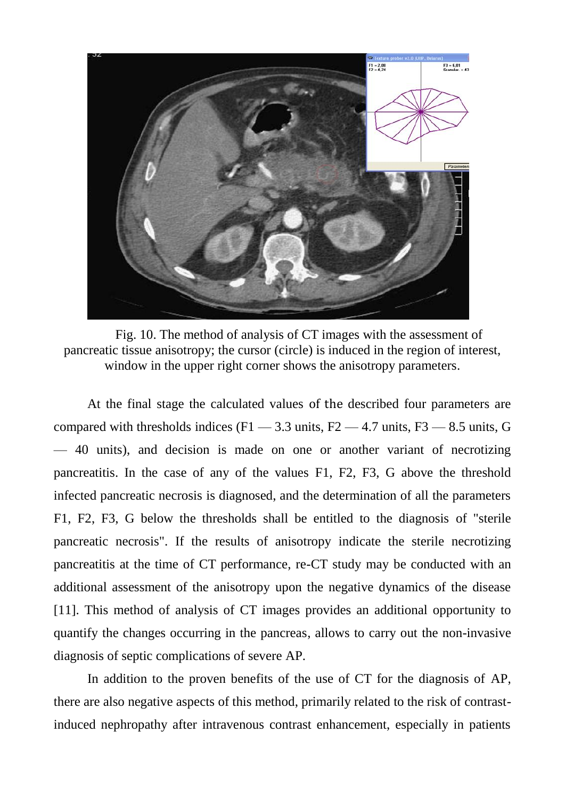

Fig. 10. The method of analysis of CT images with the assessment of pancreatic tissue anisotropy; the cursor (circle) is induced in the region of interest, window in the upper right corner shows the anisotropy parameters.

At the final stage the calculated values of the described four parameters are compared with thresholds indices  $(F1 - 3.3 \text{ units}, F2 - 4.7 \text{ units}, F3 - 8.5 \text{ units}, G$ — 40 units), and decision is made on one or another variant of necrotizing pancreatitis. In the case of any of the values F1, F2, F3, G above the threshold infected pancreatic necrosis is diagnosed, and the determination of all the parameters F1, F2, F3, G below the thresholds shall be entitled to the diagnosis of "sterile pancreatic necrosis". If the results of anisotropy indicate the sterile necrotizing pancreatitis at the time of CT performance, re-CT study may be conducted with an additional assessment of the anisotropy upon the negative dynamics of the disease [11]. This method of analysis of CT images provides an additional opportunity to quantify the changes occurring in the pancreas, allows to carry out the non-invasive diagnosis of septic complications of severe AP.

In addition to the proven benefits of the use of CT for the diagnosis of AP, there are also negative aspects of this method, primarily related to the risk of contrastinduced nephropathy after intravenous contrast enhancement, especially in patients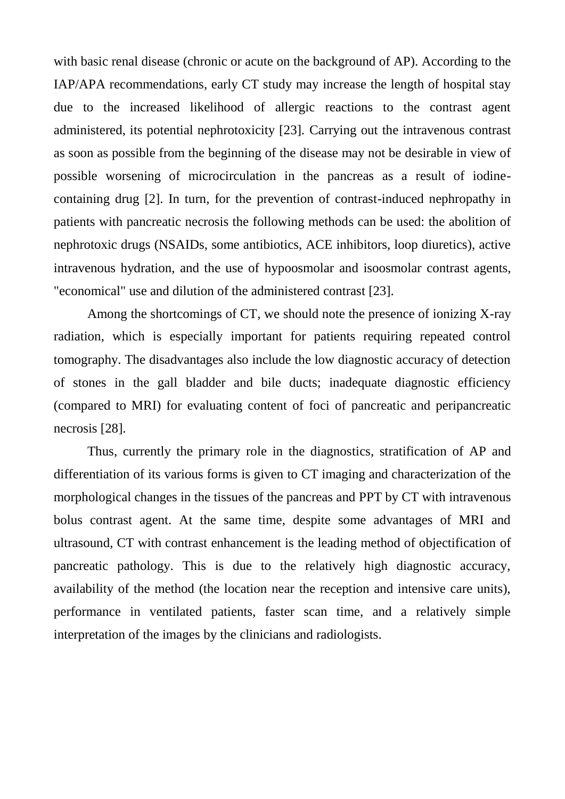with basic renal disease (chronic or acute on the background of AP). According to the IAP/APA recommendations, early CT study may increase the length of hospital stay due to the increased likelihood of allergic reactions to the contrast agent administered, its potential nephrotoxicity [23]. Carrying out the intravenous contrast as soon as possible from the beginning of the disease may not be desirable in view of possible worsening of microcirculation in the pancreas as a result of iodinecontaining drug [2]. In turn, for the prevention of contrast-induced nephropathy in patients with pancreatic necrosis the following methods can be used: the abolition of nephrotoxic drugs (NSAIDs, some antibiotics, ACE inhibitors, loop diuretics), active intravenous hydration, and the use of hypoosmolar and isoosmolar contrast agents, "economical" use and dilution of the administered contrast [23].

Among the shortcomings of CT, we should note the presence of ionizing X-ray radiation, which is especially important for patients requiring repeated control tomography. The disadvantages also include the low diagnostic accuracy of detection of stones in the gall bladder and bile ducts; inadequate diagnostic efficiency (compared to MRI) for evaluating content of foci of pancreatic and peripancreatic necrosis [28].

Thus, currently the primary role in the diagnostics, stratification of AP and differentiation of its various forms is given to CT imaging and characterization of the morphological changes in the tissues of the pancreas and PPT by CT with intravenous bolus contrast agent. At the same time, despite some advantages of MRI and ultrasound, CT with contrast enhancement is the leading method of objectification of pancreatic pathology. This is due to the relatively high diagnostic accuracy, availability of the method (the location near the reception and intensive care units), performance in ventilated patients, faster scan time, and a relatively simple interpretation of the images by the clinicians and radiologists.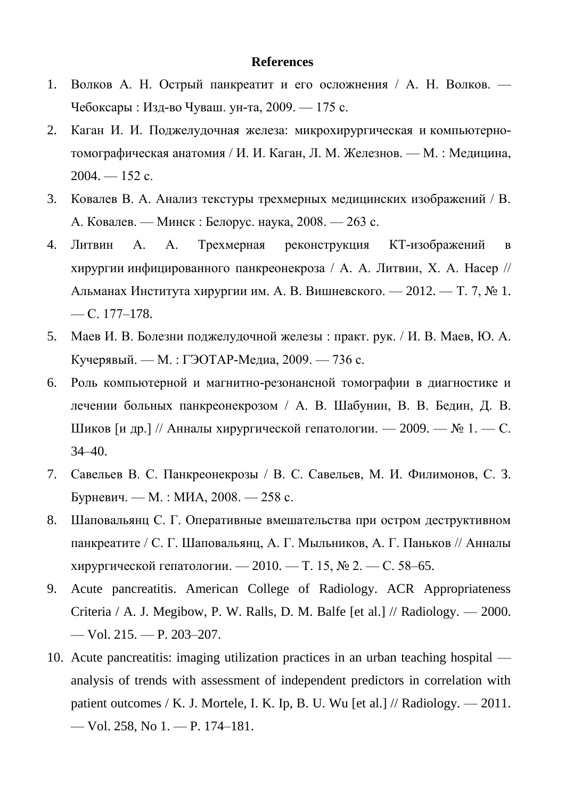## **References**

- 1. Волков А. Н. Острый панкреатит и его осложнения / А. Н. Волков. Чебоксары : Изд-во Чуваш. ун-та, 2009. — 175 с.
- 2. Каган И. И. Поджелудочная железа: микрохирургическая и компьютернотомографическая анатомия / И. И. Каган, Л. М. Железнов. — М. : Медицина,  $2004. - 152$  c.
- 3. Ковалев В. А. Анализ текстуры трехмерных медицинских изображений / В. А. Ковалев. — Минск : Белорус. наука, 2008. — 263 с.
- 4. Литвин А. А. Трехмерная реконструкция КТ-изображений в хирургии инфицированного панкреонекроза / А. А. Литвин, Х. А. Насер // Альманах Института хирургии им. А. В. Вишневского. — 2012. — Т. 7, № 1. — С. 177–178.
- 5. Маев И. В. Болезни поджелудочной железы : практ. рук. / И. В. Маев, Ю. А. Кучерявый. — М. : ГЭОТАР-Медиа, 2009. — 736 с.
- 6. Роль компьютерной и магнитно-резонансной томографии в диагностике и лечении больных панкреонекрозом / А. В. Шабунин, В. В. Бедин, Д. В. Шиков [и др.] // Анналы хирургической гепатологии. — 2009. — № 1. — С. 34–40.
- 7. Савельев В. С. Панкреонекрозы / В. С. Савельев, М. И. Филимонов, С. З. Бурневич. — М. : МИА, 2008. — 258 с.
- 8. Шаповальянц С. Г. Оперативные вмешательства при остром деструктивном панкреатите / С. Г. Шаповальянц, А. Г. Мыльников, А. Г. Паньков // Анналы хирургической гепатологии. — 2010. — Т. 15, № 2. — С. 58–65.
- 9. Acute pancreatitis. American College of Radiology. ACR Appropriateness Criteria / A. J. Megibow, P. W. Ralls, D. M. Balfe [et al.] // Radiology. — 2000. — Vol. 215. — P. 203–207.
- 10. Acute pancreatitis: imaging utilization practices in an urban teaching hospital analysis of trends with assessment of independent predictors in correlation with patient outcomes / K. J. Mortele, I. K. Ip, B. U. Wu [et al.] // Radiology. — 2011. — Vol. 258, No 1. — P. 174–181.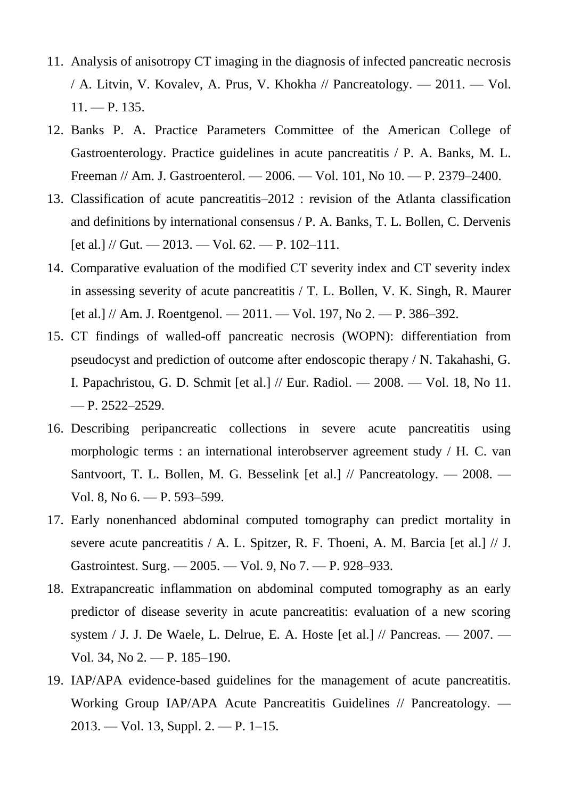- 11. Analysis of anisotropy CT imaging in the diagnosis of infected pancreatic necrosis / A. Litvin, V. Kovalev, A. Prus, V. Khokha // Pancreatology. — 2011. — Vol.  $11. - P. 135.$
- 12. Banks P. A. Practice Parameters Committee of the American College of Gastroenterology. Practice guidelines in acute pancreatitis / P. A. Banks, M. L. Freeman // Am. J. Gastroenterol. — 2006. — Vol. 101, No 10. — P. 2379–2400.
- 13. Classification of acute pancreatitis–2012 : revision of the Atlanta classification and definitions by international consensus / P. A. Banks, T. L. Bollen, C. Dervenis  $[et al.] \ // \text{Gut.} \_\!\!\!\!\!\longrightarrow 2013. \_\!\!\!\!\!\longrightarrow \text{Vol. 62.} \_\!\!\!\!\!\longrightarrow P. 102-111.$
- 14. Comparative evaluation of the modified CT severity index and CT severity index in assessing severity of acute pancreatitis / T. L. Bollen, V. K. Singh, R. Maurer  $[et al.] \, // \, Am. \, J. \, Roentgenol. \, —\, 2011. \, —\, Vol. \, 197, \, No \, 2. \, —\, P. \, 386-392.$
- 15. CT findings of walled-off pancreatic necrosis (WOPN): differentiation from pseudocyst and prediction of outcome after endoscopic therapy / N. Takahashi, G. I. Papachristou, G. D. Schmit [et al.] // Eur. Radiol. — 2008. — Vol. 18, No 11. — P. 2522–2529.
- 16. Describing peripancreatic collections in severe acute pancreatitis using morphologic terms : an international interobserver agreement study / H. C. van Santvoort, T. L. Bollen, M. G. Besselink [et al.] // Pancreatology. — 2008. — Vol. 8, No 6. — P. 593–599.
- 17. Early nonenhanced abdominal computed tomography can predict mortality in severe acute pancreatitis / A. L. Spitzer, R. F. Thoeni, A. M. Barcia [et al.] // J. Gastrointest. Surg. — 2005. — Vol. 9, No 7. — P. 928–933.
- 18. Extrapancreatic inflammation on abdominal computed tomography as an early predictor of disease severity in acute pancreatitis: evaluation of a new scoring system / J. J. De Waele, L. Delrue, E. A. Hoste [et al.] // Pancreas. — 2007. — Vol. 34, No 2. — P. 185–190.
- 19. IAP/APA evidence-based guidelines for the management of acute pancreatitis. Working Group IAP/APA Acute Pancreatitis Guidelines // Pancreatology. — 2013. — Vol. 13, Suppl. 2. — P. 1–15.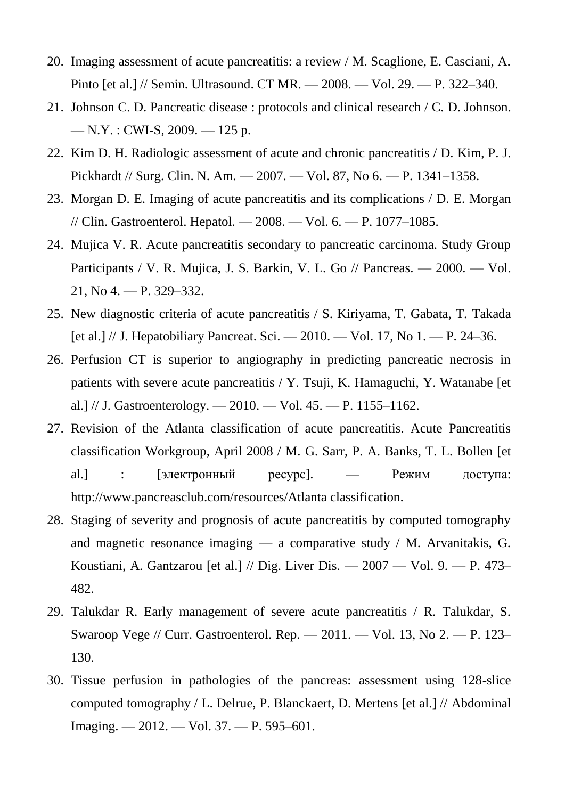- 20. Imaging assessment of acute pancreatitis: a review / M. Scaglione, E. Casciani, A. Pinto [et al.] // Semin. Ultrasound. CT MR. — 2008. — Vol. 29. — P. 322–340.
- 21. Johnson C. D. Pancreatic disease : protocols and clinical research / C. D. Johnson. — N.Y. : CWI-S, 2009. — 125 p.
- 22. Kim D. H. Radiologic assessment of acute and chronic pancreatitis / D. Kim, P. J. Pickhardt // Surg. Clin. N. Am. — 2007. — Vol. 87, No 6. — P. 1341–1358.
- 23. Morgan D. E. Imaging of acute pancreatitis and its complications / D. E. Morgan // Clin. Gastroenterol. Hepatol. — 2008. — Vol. 6. — P. 1077–1085.
- 24. Mujica V. R. Acute pancreatitis secondary to pancreatic carcinoma. Study Group Participants / V. R. Mujica, J. S. Barkin, V. L. Go // Pancreas. — 2000. — Vol. 21, No 4. — P. 329–332.
- 25. New diagnostic criteria of acute pancreatitis / S. Kiriyama, T. Gabata, T. Takada [et al.] // J. Hepatobiliary Pancreat. Sci. — 2010. — Vol. 17, No 1. — P. 24–36.
- 26. Perfusion CT is superior to angiography in predicting pancreatic necrosis in patients with severe acute pancreatitis / Y. Tsuji, K. Hamaguchi, Y. Watanabe [et al.] // J. Gastroenterology. — 2010. — Vol. 45. — P. 1155–1162.
- 27. Revision of the Atlanta classification of acute pancreatitis. Acute Pancreatitis classification Workgroup, April 2008 / M. G. Sarr, P. A. Banks, T. L. Bollen [et al.] : [электронный ресурс]. — Режим доступа: http://www.pancreasclub.com/resources/Atlanta classification.
- 28. Staging of severity and prognosis of acute pancreatitis by computed tomography and magnetic resonance imaging — a comparative study / M. Arvanitakis, G. Koustiani, A. Gantzarou [et al.] // Dig. Liver Dis. — 2007 — Vol. 9. — P. 473– 482.
- 29. Talukdar R. Early management of severe acute pancreatitis / R. Talukdar, S. Swaroop Vege // Curr. Gastroenterol. Rep. — 2011. — Vol. 13, No 2. — P. 123– 130.
- 30. Tissue perfusion in pathologies of the pancreas: assessment using 128-slice computed tomography / L. Delrue, P. Blanckaert, D. Mertens [et al.] // Abdominal Imaging. — 2012. — Vol. 37. — P. 595–601.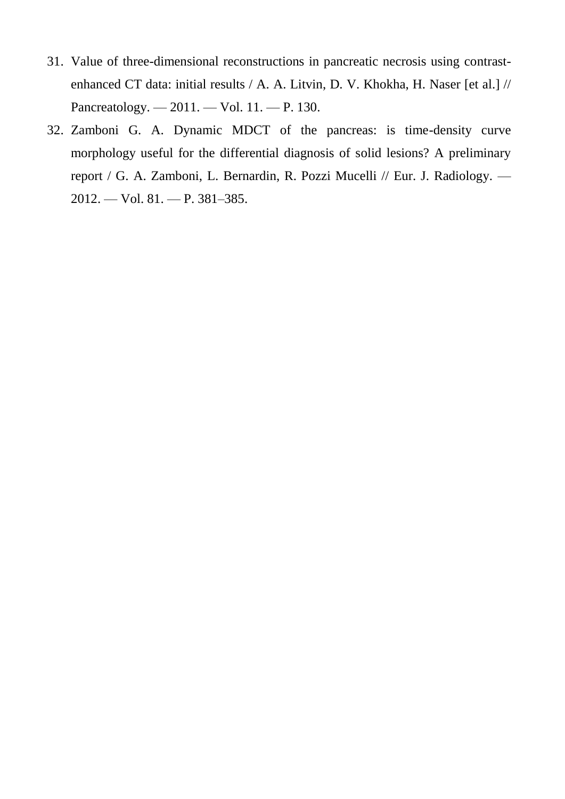- 31. Value of three-dimensional reconstructions in pancreatic necrosis using contrastenhanced CT data: initial results / A. A. Litvin, D. V. Khokha, H. Naser [et al.] // Pancreatology. — 2011. — Vol. 11. — P. 130.
- 32. Zamboni G. A. Dynamic MDCT of the pancreas: is time-density curve morphology useful for the differential diagnosis of solid lesions? A preliminary report / G. A. Zamboni, L. Bernardin, R. Pozzi Mucelli // Eur. J. Radiology. — 2012. — Vol. 81. — P. 381–385.